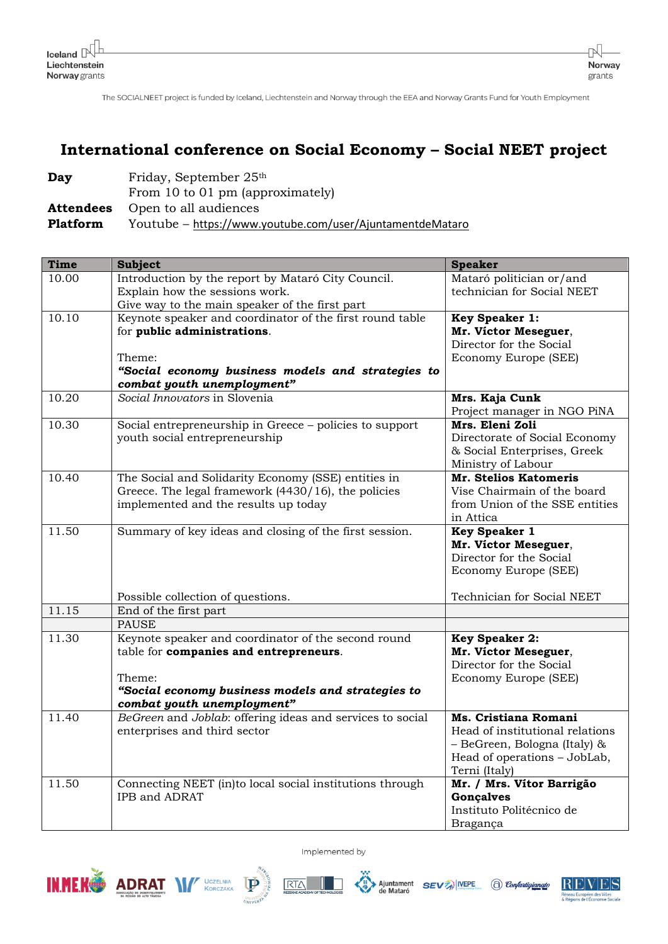The SOCIALNEET project is funded by Iceland, Liechtenstein and Norway through the EEA and Norway Grants Fund for Youth Employment

## International conference on Social Economy - Social NEET project

| Day             | Friday, September 25th                                    |
|-----------------|-----------------------------------------------------------|
|                 | From 10 to 01 pm (approximately)                          |
|                 | <b>Attendees</b> Open to all audiences                    |
| <b>Platform</b> | Youtube – https://www.youtube.com/user/AjuntamentdeMataro |

| <b>Time</b> | <b>Subject</b>                                                                           | <b>Speaker</b>                                 |
|-------------|------------------------------------------------------------------------------------------|------------------------------------------------|
| 10.00       | Introduction by the report by Mataró City Council.                                       | Mataró politician or/and                       |
|             | Explain how the sessions work.<br>Give way to the main speaker of the first part         | technician for Social NEET                     |
| 10.10       | Keynote speaker and coordinator of the first round table                                 | <b>Key Speaker 1:</b>                          |
|             | for public administrations.                                                              | Mr. Victor Meseguer,                           |
|             |                                                                                          | Director for the Social                        |
|             | Theme:                                                                                   | Economy Europe (SEE)                           |
|             | "Social economy business models and strategies to                                        |                                                |
|             | combat youth unemployment"                                                               |                                                |
| 10.20       | Social Innovators in Slovenia                                                            | Mrs. Kaja Cunk                                 |
|             |                                                                                          | Project manager in NGO PiNA<br>Mrs. Eleni Zoli |
| 10.30       | Social entrepreneurship in Greece - policies to support<br>youth social entrepreneurship | Directorate of Social Economy                  |
|             |                                                                                          | & Social Enterprises, Greek                    |
|             |                                                                                          | Ministry of Labour                             |
| 10.40       | The Social and Solidarity Economy (SSE) entities in                                      | <b>Mr. Stelios Katomeris</b>                   |
|             | Greece. The legal framework (4430/16), the policies                                      | Vise Chairmain of the board                    |
|             | implemented and the results up today                                                     | from Union of the SSE entities                 |
|             |                                                                                          | in Attica                                      |
| 11.50       | Summary of key ideas and closing of the first session.                                   | <b>Key Speaker 1</b>                           |
|             |                                                                                          | Mr. Victor Meseguer,                           |
|             |                                                                                          | Director for the Social                        |
|             |                                                                                          | Economy Europe (SEE)                           |
|             | Possible collection of questions.                                                        | Technician for Social NEET                     |
| 11.15       | End of the first part                                                                    |                                                |
|             | <b>PAUSE</b>                                                                             |                                                |
| 11.30       | Keynote speaker and coordinator of the second round                                      | <b>Key Speaker 2:</b>                          |
|             | table for companies and entrepreneurs.                                                   | Mr. Victor Meseguer,                           |
|             |                                                                                          | Director for the Social                        |
|             | Theme:                                                                                   | Economy Europe (SEE)                           |
|             | "Social economy business models and strategies to<br>combat youth unemployment"          |                                                |
| 11.40       | BeGreen and Joblab: offering ideas and services to social                                | Ms. Cristiana Romani                           |
|             | enterprises and third sector                                                             | Head of institutional relations                |
|             |                                                                                          | - BeGreen, Bologna (Italy) &                   |
|             |                                                                                          | Head of operations - JobLab,                   |
|             |                                                                                          | Terni (Italy)                                  |
| 11.50       | Connecting NEET (in)to local social institutions through                                 | Mr. / Mrs. Vítor Barrigão                      |
|             | IPB and ADRAT                                                                            | <b>Gonçalves</b>                               |
|             |                                                                                          | Instituto Politécnico de                       |
|             |                                                                                          | Bragança                                       |





Implemented by